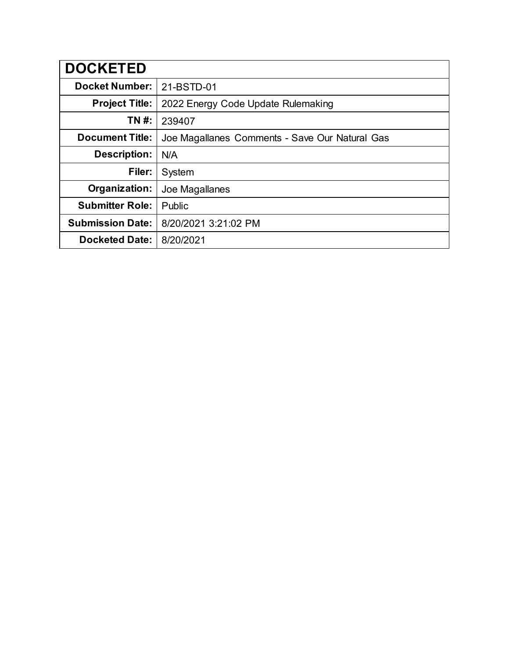| <b>DOCKETED</b>         |                                                |
|-------------------------|------------------------------------------------|
| <b>Docket Number:</b>   | 21-BSTD-01                                     |
| <b>Project Title:</b>   | 2022 Energy Code Update Rulemaking             |
| TN #:                   | 239407                                         |
| <b>Document Title:</b>  | Joe Magallanes Comments - Save Our Natural Gas |
| Description:            | N/A                                            |
| Filer:                  | System                                         |
| Organization:           | Joe Magallanes                                 |
| <b>Submitter Role:</b>  | Public                                         |
| <b>Submission Date:</b> | 8/20/2021 3:21:02 PM                           |
| <b>Docketed Date:</b>   | 8/20/2021                                      |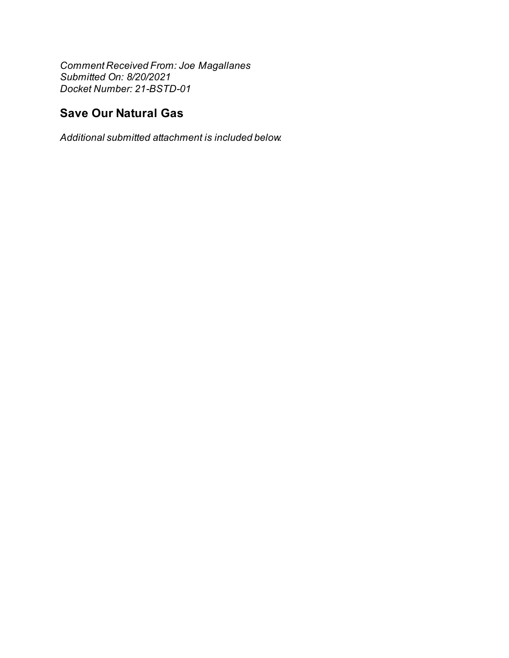Comment Received From: Joe Magallanes Submitted On: 8/20/2021 Docket Number: 21-BSTD-01

## **Save Our Natural Gas**

Additional submitted attachment is included below.